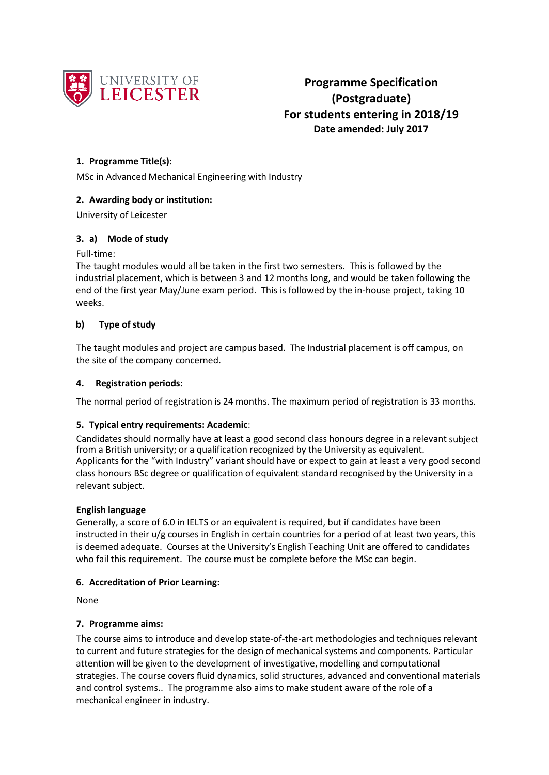

## **1. Programme Title(s):**

MSc in Advanced Mechanical Engineering with Industry

## **2. Awarding body or institution:**

University of Leicester

## **3. a) Mode of study**

#### Full-time:

The taught modules would all be taken in the first two semesters. This is followed by the industrial placement, which is between 3 and 12 months long, and would be taken following the end of the first year May/June exam period. This is followed by the in-house project, taking 10 weeks.

## **b) Type of study**

The taught modules and project are campus based. The Industrial placement is off campus, on the site of the company concerned.

#### **4. Registration periods:**

The normal period of registration is 24 months. The maximum period of registration is 33 months.

## **5. Typical entry requirements: Academic**:

Candidates should normally have at least a good second class honours degree in a relevant subject from a British university; or a qualification recognized by the University as equivalent. Applicants for the "with Industry" variant should have or expect to gain at least a very good second class honours BSc degree or qualification of equivalent standard recognised by the University in a relevant subject.

## **English language**

Generally, a score of 6.0 in IELTS or an equivalent is required, but if candidates have been instructed in their u/g courses in English in certain countries for a period of at least two years, this is deemed adequate. Courses at the University's English Teaching Unit are offered to candidates who fail this requirement. The course must be complete before the MSc can begin.

#### **6. Accreditation of Prior Learning:**

None

## **7. Programme aims:**

The course aims to introduce and develop state-of-the-art methodologies and techniques relevant to current and future strategies for the design of mechanical systems and components. Particular attention will be given to the development of investigative, modelling and computational strategies. The course covers fluid dynamics, solid structures, advanced and conventional materials and control systems.. The programme also aims to make student aware of the role of a mechanical engineer in industry.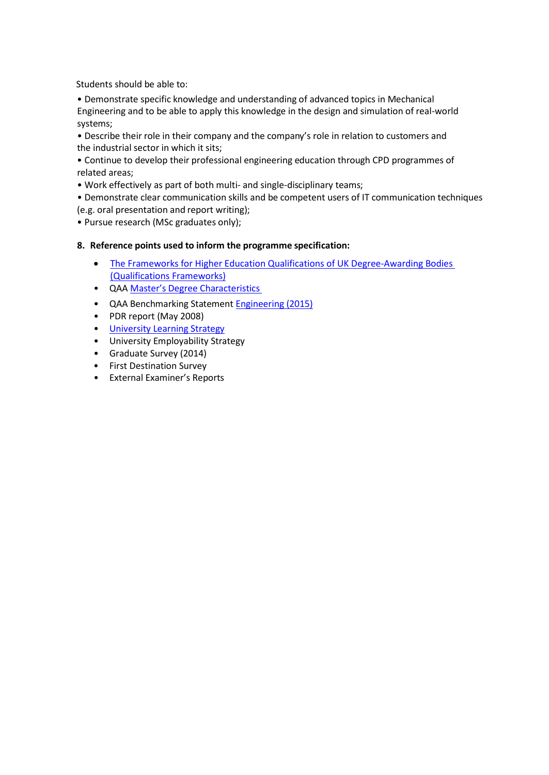Students should be able to:

• Demonstrate specific knowledge and understanding of advanced topics in Mechanical Engineering and to be able to apply this knowledge in the design and simulation of real-world systems;

• Describe their role in their company and the company's role in relation to customers and the industrial sector in which it sits;

• Continue to develop their professional engineering education through CPD programmes of related areas;

• Work effectively as part of both multi- and single-disciplinary teams;

• Demonstrate clear communication skills and be competent users of IT communication techniques (e.g. oral presentation and report writing);

• Pursue research (MSc graduates only);

#### **8. Reference points used to inform the programme specification:**

- [The Frameworks for Higher Education Qualifications of UK Degree-Awarding Bodies](http://www.qaa.ac.uk/publications/information-and-guidance/publication?PubID=2843)  [\(Qualifications Frameworks\)](http://www.qaa.ac.uk/publications/information-and-guidance/publication?PubID=2843)
- QAA Master's Degree [Characteristics](http://www.qaa.ac.uk/en/Publications/Documents/Masters-Degree-Characteristics-2010.pdf)
- QAA Benchmarking Statemen[t Engineering \(2015\)](http://www.qaa.ac.uk/publications/information-and-guidance/publication?PubID=2910)
- PDR report (May 2008)
- University [Learning Strategy](http://www2.le.ac.uk/offices/sas2/quality/learnteach)
- University Employability Strategy
- Graduate Survey (2014)
- First Destination Survey
- External Examiner's Reports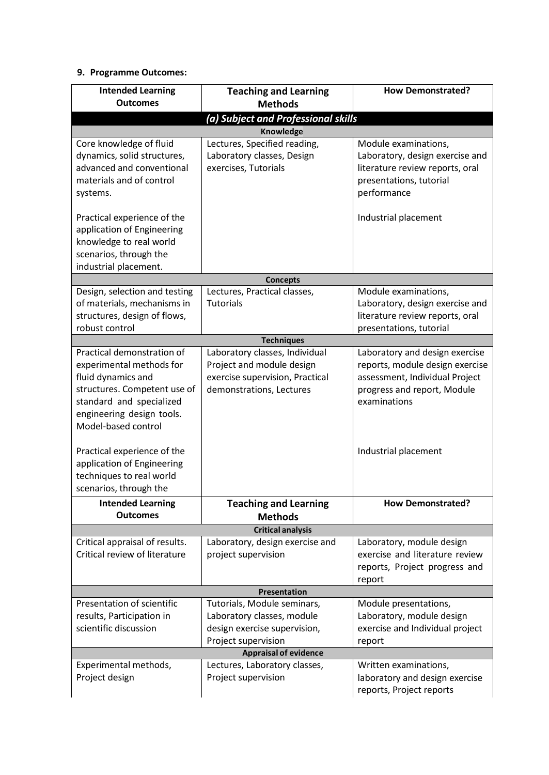# **9. Programme Outcomes:**

| <b>Intended Learning</b><br><b>Outcomes</b>              | <b>Teaching and Learning</b><br><b>Methods</b> | <b>How Demonstrated?</b>                                               |  |  |  |  |  |
|----------------------------------------------------------|------------------------------------------------|------------------------------------------------------------------------|--|--|--|--|--|
| (a) Subject and Professional skills                      |                                                |                                                                        |  |  |  |  |  |
|                                                          | <b>Knowledge</b>                               |                                                                        |  |  |  |  |  |
| Core knowledge of fluid                                  | Lectures, Specified reading,                   | Module examinations,<br>Laboratory, design exercise and                |  |  |  |  |  |
| dynamics, solid structures,<br>advanced and conventional | Laboratory classes, Design                     |                                                                        |  |  |  |  |  |
|                                                          | exercises, Tutorials                           | literature review reports, oral                                        |  |  |  |  |  |
| materials and of control                                 |                                                | presentations, tutorial                                                |  |  |  |  |  |
| systems.                                                 |                                                | performance                                                            |  |  |  |  |  |
| Practical experience of the                              |                                                | Industrial placement                                                   |  |  |  |  |  |
| application of Engineering                               |                                                |                                                                        |  |  |  |  |  |
| knowledge to real world                                  |                                                |                                                                        |  |  |  |  |  |
| scenarios, through the                                   |                                                |                                                                        |  |  |  |  |  |
| industrial placement.                                    |                                                |                                                                        |  |  |  |  |  |
|                                                          | <b>Concepts</b>                                |                                                                        |  |  |  |  |  |
| Design, selection and testing                            | Lectures, Practical classes,                   | Module examinations,                                                   |  |  |  |  |  |
| of materials, mechanisms in                              | <b>Tutorials</b>                               | Laboratory, design exercise and                                        |  |  |  |  |  |
| structures, design of flows,                             |                                                | literature review reports, oral                                        |  |  |  |  |  |
| robust control                                           | <b>Techniques</b>                              | presentations, tutorial                                                |  |  |  |  |  |
| Practical demonstration of                               | Laboratory classes, Individual                 | Laboratory and design exercise                                         |  |  |  |  |  |
| experimental methods for                                 | Project and module design                      | reports, module design exercise                                        |  |  |  |  |  |
| fluid dynamics and                                       | exercise supervision, Practical                | assessment, Individual Project                                         |  |  |  |  |  |
| structures. Competent use of                             | demonstrations, Lectures                       | progress and report, Module                                            |  |  |  |  |  |
| standard and specialized                                 |                                                | examinations                                                           |  |  |  |  |  |
| engineering design tools.                                |                                                |                                                                        |  |  |  |  |  |
| Model-based control                                      |                                                |                                                                        |  |  |  |  |  |
|                                                          |                                                |                                                                        |  |  |  |  |  |
| Practical experience of the                              |                                                | Industrial placement                                                   |  |  |  |  |  |
| application of Engineering                               |                                                |                                                                        |  |  |  |  |  |
| techniques to real world                                 |                                                |                                                                        |  |  |  |  |  |
| scenarios, through the                                   |                                                |                                                                        |  |  |  |  |  |
| <b>Intended Learning</b><br><b>Outcomes</b>              | <b>Teaching and Learning</b>                   | <b>How Demonstrated?</b>                                               |  |  |  |  |  |
|                                                          | <b>Methods</b><br><b>Critical analysis</b>     |                                                                        |  |  |  |  |  |
| Critical appraisal of results.                           | Laboratory, design exercise and                | Laboratory, module design                                              |  |  |  |  |  |
| Critical review of literature                            | project supervision                            | exercise and literature review                                         |  |  |  |  |  |
|                                                          |                                                | reports, Project progress and                                          |  |  |  |  |  |
|                                                          |                                                | report                                                                 |  |  |  |  |  |
|                                                          | Presentation                                   |                                                                        |  |  |  |  |  |
| Presentation of scientific                               | Tutorials, Module seminars,                    | Module presentations,                                                  |  |  |  |  |  |
| results, Participation in                                | Laboratory classes, module                     | Laboratory, module design<br>exercise and Individual project<br>report |  |  |  |  |  |
| scientific discussion                                    | design exercise supervision,                   |                                                                        |  |  |  |  |  |
|                                                          | Project supervision                            |                                                                        |  |  |  |  |  |
|                                                          | <b>Appraisal of evidence</b>                   |                                                                        |  |  |  |  |  |
| Experimental methods,                                    | Lectures, Laboratory classes,                  | Written examinations,                                                  |  |  |  |  |  |
| Project design                                           | Project supervision                            | laboratory and design exercise                                         |  |  |  |  |  |
|                                                          |                                                | reports, Project reports                                               |  |  |  |  |  |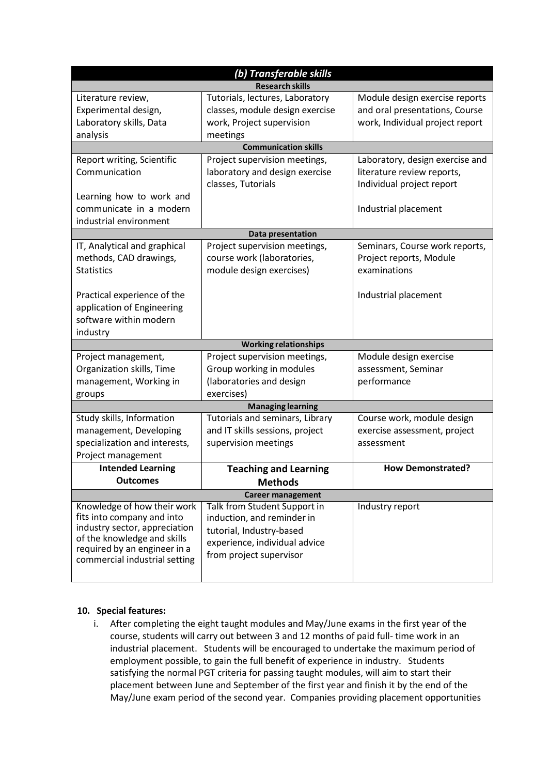| (b) Transferable skills                                      |                                 |                                 |  |  |  |  |  |
|--------------------------------------------------------------|---------------------------------|---------------------------------|--|--|--|--|--|
| <b>Research skills</b>                                       |                                 |                                 |  |  |  |  |  |
| Literature review,                                           | Tutorials, lectures, Laboratory | Module design exercise reports  |  |  |  |  |  |
| Experimental design,                                         | classes, module design exercise | and oral presentations, Course  |  |  |  |  |  |
| Laboratory skills, Data                                      | work, Project supervision       | work, Individual project report |  |  |  |  |  |
| analysis                                                     | meetings                        |                                 |  |  |  |  |  |
| <b>Communication skills</b>                                  |                                 |                                 |  |  |  |  |  |
| Report writing, Scientific                                   | Project supervision meetings,   | Laboratory, design exercise and |  |  |  |  |  |
| Communication                                                | laboratory and design exercise  | literature review reports,      |  |  |  |  |  |
|                                                              | classes, Tutorials              | Individual project report       |  |  |  |  |  |
| Learning how to work and                                     |                                 |                                 |  |  |  |  |  |
| communicate in a modern                                      |                                 | Industrial placement            |  |  |  |  |  |
| industrial environment                                       |                                 |                                 |  |  |  |  |  |
| Data presentation                                            |                                 |                                 |  |  |  |  |  |
| IT, Analytical and graphical                                 | Project supervision meetings,   | Seminars, Course work reports,  |  |  |  |  |  |
| methods, CAD drawings,                                       | course work (laboratories,      | Project reports, Module         |  |  |  |  |  |
| <b>Statistics</b>                                            | module design exercises)        | examinations                    |  |  |  |  |  |
|                                                              |                                 |                                 |  |  |  |  |  |
| Practical experience of the                                  |                                 | Industrial placement            |  |  |  |  |  |
| application of Engineering                                   |                                 |                                 |  |  |  |  |  |
| software within modern                                       |                                 |                                 |  |  |  |  |  |
| industry                                                     |                                 |                                 |  |  |  |  |  |
|                                                              | <b>Working relationships</b>    |                                 |  |  |  |  |  |
| Project management,                                          | Project supervision meetings,   | Module design exercise          |  |  |  |  |  |
| Organization skills, Time                                    | Group working in modules        | assessment, Seminar             |  |  |  |  |  |
| management, Working in                                       | (laboratories and design        | performance                     |  |  |  |  |  |
| groups                                                       | exercises)                      |                                 |  |  |  |  |  |
|                                                              | <b>Managing learning</b>        |                                 |  |  |  |  |  |
| Study skills, Information                                    | Tutorials and seminars, Library | Course work, module design      |  |  |  |  |  |
| management, Developing                                       | and IT skills sessions, project | exercise assessment, project    |  |  |  |  |  |
| specialization and interests,                                | supervision meetings            | assessment                      |  |  |  |  |  |
| Project management                                           |                                 |                                 |  |  |  |  |  |
| <b>Intended Learning</b>                                     | <b>Teaching and Learning</b>    | <b>How Demonstrated?</b>        |  |  |  |  |  |
| <b>Outcomes</b>                                              | <b>Methods</b>                  |                                 |  |  |  |  |  |
| <b>Career management</b>                                     |                                 |                                 |  |  |  |  |  |
| Knowledge of how their work                                  | Talk from Student Support in    | Industry report                 |  |  |  |  |  |
| fits into company and into                                   | induction, and reminder in      |                                 |  |  |  |  |  |
| industry sector, appreciation<br>of the knowledge and skills | tutorial, Industry-based        |                                 |  |  |  |  |  |
| required by an engineer in a                                 | experience, individual advice   |                                 |  |  |  |  |  |
| commercial industrial setting                                | from project supervisor         |                                 |  |  |  |  |  |
|                                                              |                                 |                                 |  |  |  |  |  |

## **10. Special features:**

i. After completing the eight taught modules and May/June exams in the first year of the course, students will carry out between 3 and 12 months of paid full- time work in an industrial placement. Students will be encouraged to undertake the maximum period of employment possible, to gain the full benefit of experience in industry. Students satisfying the normal PGT criteria for passing taught modules, will aim to start their placement between June and September of the first year and finish it by the end of the May/June exam period of the second year. Companies providing placement opportunities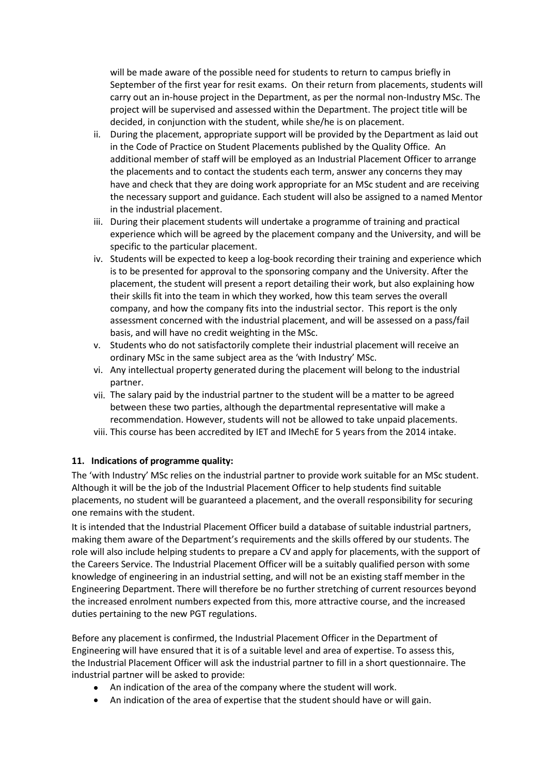will be made aware of the possible need for students to return to campus briefly in September of the first year for resit exams. On their return from placements, students will carry out an in-house project in the Department, as per the normal non-Industry MSc. The project will be supervised and assessed within the Department. The project title will be decided, in conjunction with the student, while she/he is on placement.

- ii. During the placement, appropriate support will be provided by the Department as laid out in the Code of Practice on Student Placements published by the Quality Office. An additional member of staff will be employed as an Industrial Placement Officer to arrange the placements and to contact the students each term, answer any concerns they may have and check that they are doing work appropriate for an MSc student and are receiving the necessary support and guidance. Each student will also be assigned to a named Mentor in the industrial placement.
- iii. During their placement students will undertake a programme of training and practical experience which will be agreed by the placement company and the University, and will be specific to the particular placement.
- iv. Students will be expected to keep a log-book recording their training and experience which is to be presented for approval to the sponsoring company and the University. After the placement, the student will present a report detailing their work, but also explaining how their skills fit into the team in which they worked, how this team serves the overall company, and how the company fits into the industrial sector. This report is the only assessment concerned with the industrial placement, and will be assessed on a pass/fail basis, and will have no credit weighting in the MSc.
- v. Students who do not satisfactorily complete their industrial placement will receive an ordinary MSc in the same subject area as the 'with Industry' MSc.
- vi. Any intellectual property generated during the placement will belong to the industrial partner.
- vii. The salary paid by the industrial partner to the student will be a matter to be agreed between these two parties, although the departmental representative will make a recommendation. However, students will not be allowed to take unpaid placements.
- viii. This course has been accredited by IET and IMechE for 5 years from the 2014 intake.

## **11. Indications of programme quality:**

The 'with Industry' MSc relies on the industrial partner to provide work suitable for an MSc student. Although it will be the job of the Industrial Placement Officer to help students find suitable placements, no student will be guaranteed a placement, and the overall responsibility for securing one remains with the student.

It is intended that the Industrial Placement Officer build a database of suitable industrial partners, making them aware of the Department's requirements and the skills offered by our students. The role will also include helping students to prepare a CV and apply for placements, with the support of the Careers Service. The Industrial Placement Officer will be a suitably qualified person with some knowledge of engineering in an industrial setting, and will not be an existing staff member in the Engineering Department. There will therefore be no further stretching of current resources beyond the increased enrolment numbers expected from this, more attractive course, and the increased duties pertaining to the new PGT regulations.

Before any placement is confirmed, the Industrial Placement Officer in the Department of Engineering will have ensured that it is of a suitable level and area of expertise. To assess this, the Industrial Placement Officer will ask the industrial partner to fill in a short questionnaire. The industrial partner will be asked to provide:

- An indication of the area of the company where the student will work.
- An indication of the area of expertise that the student should have or will gain.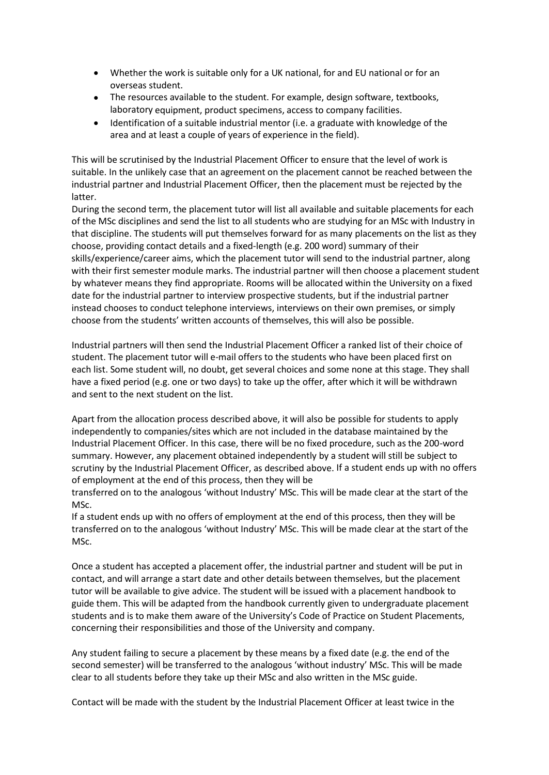- Whether the work is suitable only for a UK national, for and EU national or for an overseas student.
- The resources available to the student. For example, design software, textbooks, laboratory equipment, product specimens, access to company facilities.
- Identification of a suitable industrial mentor (i.e. a graduate with knowledge of the area and at least a couple of years of experience in the field).

This will be scrutinised by the Industrial Placement Officer to ensure that the level of work is suitable. In the unlikely case that an agreement on the placement cannot be reached between the industrial partner and Industrial Placement Officer, then the placement must be rejected by the latter.

During the second term, the placement tutor will list all available and suitable placements for each of the MSc disciplines and send the list to all students who are studying for an MSc with Industry in that discipline. The students will put themselves forward for as many placements on the list as they choose, providing contact details and a fixed-length (e.g. 200 word) summary of their skills/experience/career aims, which the placement tutor will send to the industrial partner, along with their first semester module marks. The industrial partner will then choose a placement student by whatever means they find appropriate. Rooms will be allocated within the University on a fixed date for the industrial partner to interview prospective students, but if the industrial partner instead chooses to conduct telephone interviews, interviews on their own premises, or simply choose from the students' written accounts of themselves, this will also be possible.

Industrial partners will then send the Industrial Placement Officer a ranked list of their choice of student. The placement tutor will e-mail offers to the students who have been placed first on each list. Some student will, no doubt, get several choices and some none at this stage. They shall have a fixed period (e.g. one or two days) to take up the offer, after which it will be withdrawn and sent to the next student on the list.

Apart from the allocation process described above, it will also be possible for students to apply independently to companies/sites which are not included in the database maintained by the Industrial Placement Officer. In this case, there will be no fixed procedure, such as the 200-word summary. However, any placement obtained independently by a student will still be subject to scrutiny by the Industrial Placement Officer, as described above. If a student ends up with no offers of employment at the end of this process, then they will be

transferred on to the analogous 'without Industry' MSc. This will be made clear at the start of the MSc.

If a student ends up with no offers of employment at the end of this process, then they will be transferred on to the analogous 'without Industry' MSc. This will be made clear at the start of the MSc.

Once a student has accepted a placement offer, the industrial partner and student will be put in contact, and will arrange a start date and other details between themselves, but the placement tutor will be available to give advice. The student will be issued with a placement handbook to guide them. This will be adapted from the handbook currently given to undergraduate placement students and is to make them aware of the University's Code of Practice on Student Placements, concerning their responsibilities and those of the University and company.

Any student failing to secure a placement by these means by a fixed date (e.g. the end of the second semester) will be transferred to the analogous 'without industry' MSc. This will be made clear to all students before they take up their MSc and also written in the MSc guide.

Contact will be made with the student by the Industrial Placement Officer at least twice in the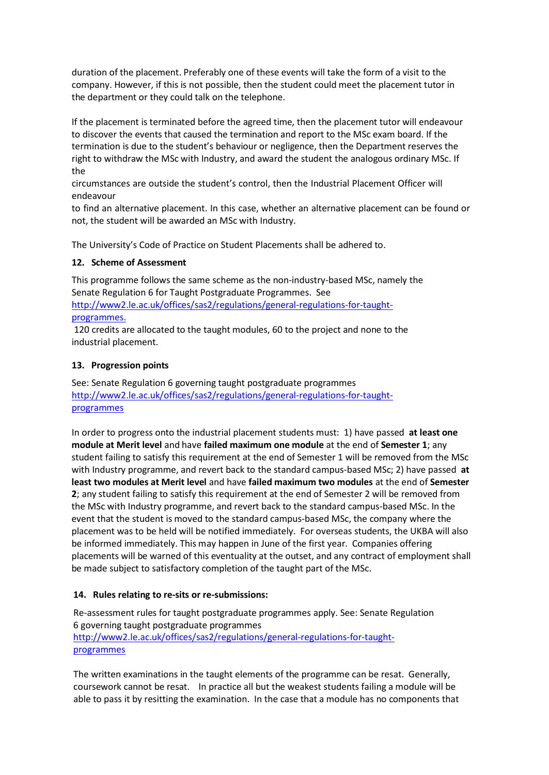duration of the placement. Preferably one of these events will take the form of a visit to the company. However, if this is not possible, then the student could meet the placement tutor in the department or they could talk on the telephone.

If the placement is terminated before the agreed time, then the placement tutor will endeavour to discover the events that caused the termination and report to the MSc exam board. If the termination is due to the student's behaviour or negligence, then the Department reserves the right to withdraw the MSc with Industry, and award the student the analogous ordinary MSc. If the

circumstances are outside the student's control, then the Industrial Placement Officer will endeavour

to find an alternative placement. In this case, whether an alternative placement can be found or not, the student will be awarded an MSc with Industry.

The University's Code of Practice on Student Placements shall be adhered to.

## **12. Scheme of Assessment**

This programme follows the same scheme as the non-industry-based MSc, namely the Senate Regulation 6 for Taught Postgraduate Programmes. See [http://www2.le.ac.uk/offices/sas2/regulations/general-regulations-for-taught-](http://www2.le.ac.uk/offices/sas2/regulations/general-regulations-for-taught-programmes)

#### [programmes.](http://www2.le.ac.uk/offices/sas2/regulations/general-regulations-for-taught-programmes)

120 credits are allocated to the taught modules, 60 to the project and none to the industrial placement.

## **13. Progression points**

See: Senate Regulation 6 governing taught postgraduate programmes [http://www2.le.ac.uk/offices/sas2/regulations/general-regulations-for-taught](http://www2.le.ac.uk/offices/sas2/regulations/general-regulations-for-taught-programmes)[programmes](http://www2.le.ac.uk/offices/sas2/regulations/general-regulations-for-taught-programmes)

In order to progress onto the industrial placement students must: 1) have passed **at least one module at Merit level** and have **failed maximum one module** at the end of **Semester 1**; any student failing to satisfy this requirement at the end of Semester 1 will be removed from the MSc with Industry programme, and revert back to the standard campus-based MSc; 2) have passed **at least two modules at Merit level** and have **failed maximum two modules** at the end of **Semester 2**; any student failing to satisfy this requirement at the end of Semester 2 will be removed from the MSc with Industry programme, and revert back to the standard campus-based MSc. In the event that the student is moved to the standard campus-based MSc, the company where the placement was to be held will be notified immediately. For overseas students, the UKBA will also be informed immediately. This may happen in June of the first year. Companies offering placements will be warned of this eventuality at the outset, and any contract of employment shall be made subject to satisfactory completion of the taught part of the MSc.

# **14. Rules relating to re-sits or re-submissions:**

Re-assessment rules for taught postgraduate programmes apply. See: Senate Regulation 6 governing taught postgraduate programmes [http://www2.le.ac.uk/offices/sas2/regulations/general-regulations-for-taught](http://www2.le.ac.uk/offices/sas2/regulations/general-regulations-for-taught-programmes)[programmes](http://www2.le.ac.uk/offices/sas2/regulations/general-regulations-for-taught-programmes)

The written examinations in the taught elements of the programme can be resat. Generally, coursework cannot be resat. In practice all but the weakest students failing a module will be able to pass it by resitting the examination. In the case that a module has no components that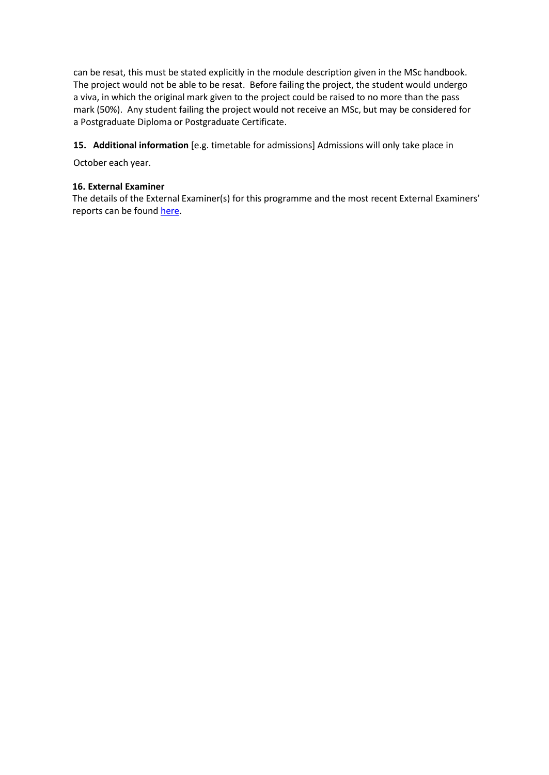can be resat, this must be stated explicitly in the module description given in the MSc handbook. The project would not be able to be resat. Before failing the project, the student would undergo a viva, in which the original mark given to the project could be raised to no more than the pass mark (50%). Any student failing the project would not receive an MSc, but may be considered for a Postgraduate Diploma or Postgraduate Certificate.

## **15. Additional information** [e.g. timetable for admissions] Admissions will only take place in

October each year.

#### **16. External Examiner**

The details of the External Examiner(s) for this programme and the most recent External Examiners' reports can be found [here.](https://exampapers.le.ac.uk/xmlui/handle/123456789/214)